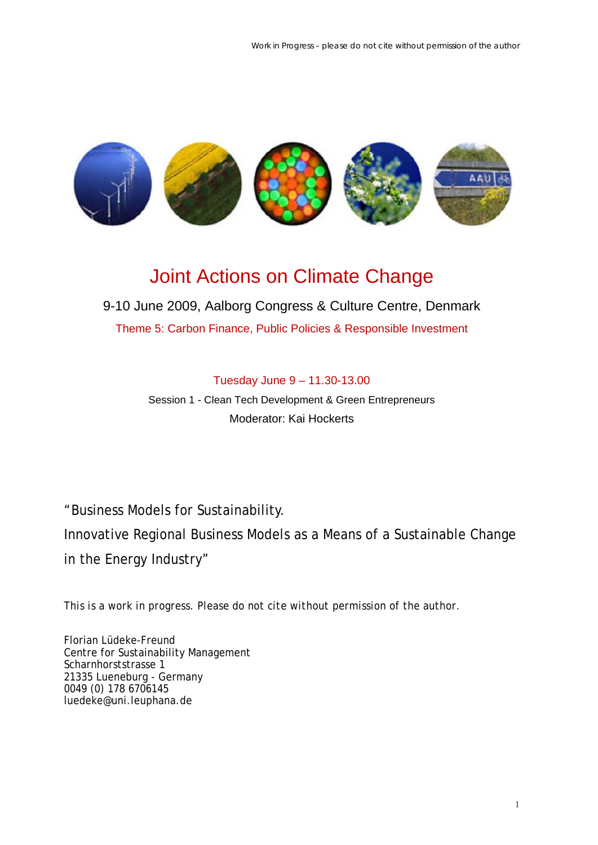

# Joint Actions on Climate Change

# 9-10 June 2009, Aalborg Congress & Culture Centre, Denmark

Theme 5: Carbon Finance, Public Policies & Responsible Investment

# Tuesday June 9 – 11.30-13.00

Session 1 - Clean Tech Development & Green Entrepreneurs Moderator: Kai Hockerts

# "Business Models for Sustainability. Innovative Regional Business Models as a Means of a Sustainable Change in the Energy Industry"

*This is a work in progress. Please do not cite without permission of the author.* 

Florian Lüdeke-Freund Centre for Sustainability Management Scharnhorststrasse 1 21335 Lueneburg - Germany 0049 (0) 178 6706145 luedeke@uni.leuphana.de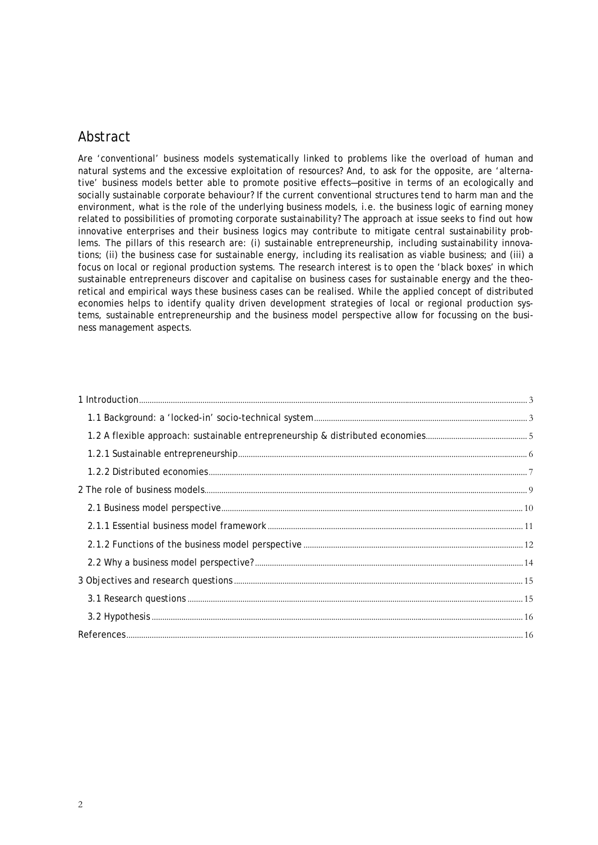# Abstract

Are 'conventional' business models systematically linked to problems like the overload of human and natural systems and the excessive exploitation of resources? And, to ask for the opposite, are 'alternative' business models better able to promote positive effects—positive in terms of an ecologically and socially sustainable corporate behaviour? If the current conventional structures tend to harm man and the environment, what is the role of the underlying business models, i.e. the business logic of earning money related to possibilities of promoting corporate sustainability? The approach at issue seeks to find out how innovative enterprises and their business logics may contribute to mitigate central sustainability problems. The pillars of this research are: (i) sustainable entrepreneurship, including sustainability innovations; (ii) the business case for sustainable energy, including its realisation as viable business; and (iii) a focus on local or regional production systems. The research interest is to open the 'black boxes' in which sustainable entrepreneurs discover and capitalise on business cases for sustainable energy and the theoretical and empirical ways these business cases can be realised. While the applied concept of distributed economies helps to identify quality driven development strategies of local or regional production systems, sustainable entrepreneurship and the business model perspective allow for focussing on the business management aspects.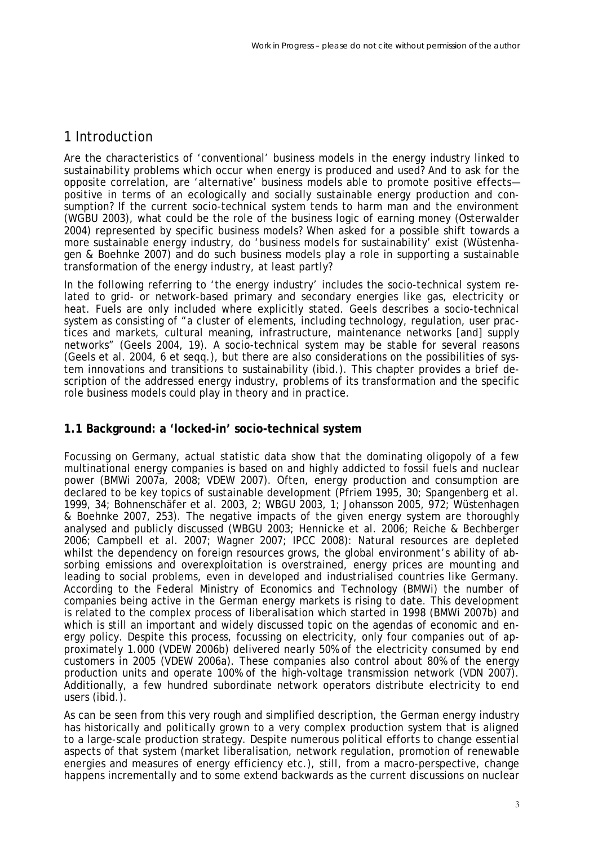# 1 Introduction

Are the characteristics of 'conventional' business models in the energy industry linked to sustainability problems which occur when energy is produced and used? And to ask for the opposite correlation, are 'alternative' business models able to promote positive effects positive in terms of an ecologically and socially sustainable energy production and consumption? If the current socio-technical system tends to harm man and the environment (WGBU 2003), what could be the role of the business logic of earning money (Osterwalder 2004) represented by specific business models? When asked for a possible shift towards a more sustainable energy industry, do 'business models for sustainability' exist (Wüstenhagen & Boehnke 2007) and do such business models play a role in supporting a sustainable transformation of the energy industry, at least partly?

In the following referring to 'the energy industry' includes the socio-technical system related to grid- or network-based primary and secondary energies like gas, electricity or heat. Fuels are only included where explicitly stated. Geels describes a socio-technical system as consisting of "a cluster of elements, including technology, regulation, user practices and markets, cultural meaning, infrastructure, maintenance networks [and] supply networks" (Geels 2004, 19). A socio-technical system may be stable for several reasons (Geels et al. 2004, 6 et seqq.), but there are also considerations on the possibilities of system innovations and transitions to sustainability (ibid.). This chapter provides a brief description of the addressed energy industry, problems of its transformation and the specific role business models could play in theory and in practice.

#### **1.1 Background: a 'locked-in' socio-technical system**

Focussing on Germany, actual statistic data show that the dominating oligopoly of a few multinational energy companies is based on and highly addicted to fossil fuels and nuclear power (BMWi 2007a, 2008; VDEW 2007). Often, energy production and consumption are declared to be key topics of sustainable development (Pfriem 1995, 30; Spangenberg et al. 1999, 34; Bohnenschäfer et al. 2003, 2; WBGU 2003, 1; Johansson 2005, 972; Wüstenhagen & Boehnke 2007, 253). The negative impacts of the given energy system are thoroughly analysed and publicly discussed (WBGU 2003; Hennicke et al. 2006; Reiche & Bechberger 2006; Campbell et al. 2007; Wagner 2007; IPCC 2008): Natural resources are depleted whilst the dependency on foreign resources grows, the global environment's ability of absorbing emissions and overexploitation is overstrained, energy prices are mounting and leading to social problems, even in developed and industrialised countries like Germany. According to the Federal Ministry of Economics and Technology (BMWi) the number of companies being active in the German energy markets is rising to date. This development is related to the complex process of liberalisation which started in 1998 (BMWi 2007b) and which is still an important and widely discussed topic on the agendas of economic and energy policy. Despite this process, focussing on electricity, only four companies out of approximately 1.000 (VDEW 2006b) delivered nearly 50% of the electricity consumed by end customers in 2005 (VDEW 2006a). These companies also control about 80% of the energy production units and operate 100% of the high-voltage transmission network (VDN 2007). Additionally, a few hundred subordinate network operators distribute electricity to end users (ibid.).

As can be seen from this very rough and simplified description, the German energy industry has historically and politically grown to a very complex production system that is aligned to a large-scale production strategy. Despite numerous political efforts to change essential aspects of that system (market liberalisation, network regulation, promotion of renewable energies and measures of energy efficiency etc.), still, from a macro-perspective, change happens incrementally and to some extend backwards as the current discussions on nuclear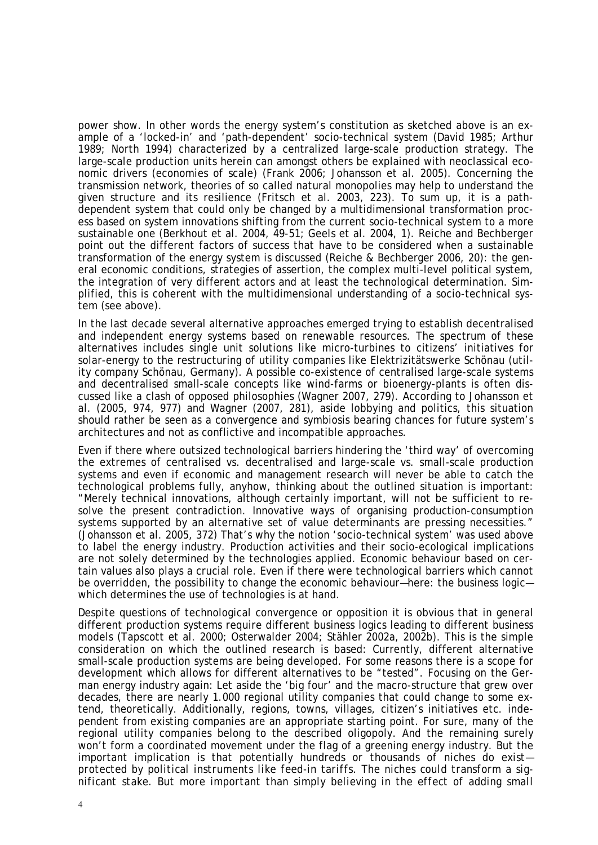power show. In other words the energy system's constitution as sketched above is an example of a 'locked-in' and 'path-dependent' socio-technical system (David 1985; Arthur 1989; North 1994) characterized by a centralized large-scale production strategy. The large-scale production units herein can amongst others be explained with neoclassical economic drivers (economies of scale) (Frank 2006; Johansson et al. 2005). Concerning the transmission network, theories of so called natural monopolies may help to understand the given structure and its resilience (Fritsch et al. 2003, 223). To sum up, it is a pathdependent system that could only be changed by a multidimensional transformation process based on system innovations shifting from the current socio-technical system to a more sustainable one (Berkhout et al. 2004, 49-51; Geels et al. 2004, 1). Reiche and Bechberger point out the different factors of success that have to be considered when a sustainable transformation of the energy system is discussed (Reiche & Bechberger 2006, 20): the general economic conditions, strategies of assertion, the complex multi-level political system, the integration of very different actors and at least the technological determination. Simplified, this is coherent with the multidimensional understanding of a socio-technical system (see above).

In the last decade several alternative approaches emerged trying to establish decentralised and independent energy systems based on renewable resources. The spectrum of these alternatives includes single unit solutions like micro-turbines to citizens' initiatives for solar-energy to the restructuring of utility companies like Elektrizitätswerke Schönau (utility company Schönau, Germany). A possible co-existence of centralised large-scale systems and decentralised small-scale concepts like wind-farms or bioenergy-plants is often discussed like a clash of opposed philosophies (Wagner 2007, 279). According to Johansson et al. (2005, 974, 977) and Wagner (2007, 281), aside lobbying and politics, this situation should rather be seen as a convergence and symbiosis bearing chances for future system's architectures and not as conflictive and incompatible approaches.

Even if there where outsized technological barriers hindering the 'third way' of overcoming the extremes of centralised vs. decentralised and large-scale vs. small-scale production systems and even if economic and management research will never be able to catch the technological problems fully, anyhow, thinking about the outlined situation is important: "Merely technical innovations, although certainly important, will not be sufficient to resolve the present contradiction. Innovative ways of organising production-consumption systems supported by an alternative set of value determinants are pressing necessities." (Johansson et al. 2005, 372) That's why the notion 'socio-technical system' was used above to label the energy industry. Production activities and their socio-ecological implications are not solely determined by the technologies applied. Economic behaviour based on certain values also plays a crucial role. Even if there were technological barriers which cannot be overridden, the possibility to change the economic behaviour—here: the business logic which determines the use of technologies is at hand.

Despite questions of technological convergence or opposition it is obvious that in general different production systems require different business logics leading to different business models (Tapscott et al. 2000; Osterwalder 2004; Stähler 2002a, 2002b). This is the simple consideration on which the outlined research is based: Currently, different alternative small-scale production systems are being developed. For some reasons there is a scope for development which allows for different alternatives to be "tested". Focusing on the German energy industry again: Let aside the 'big four' and the macro-structure that grew over decades, there are nearly 1.000 regional utility companies that could change to some extend, theoretically. Additionally, regions, towns, villages, citizen's initiatives etc. independent from existing companies are an appropriate starting point. For sure, many of the regional utility companies belong to the described oligopoly. And the remaining surely won't form a coordinated movement under the flag of a greening energy industry. But the important implication is that potentially hundreds *or thousands of niches do exist protected by political instruments like feed-in tariffs. The niches could transform a significant stake. But more important than simply believing in the effect of adding small*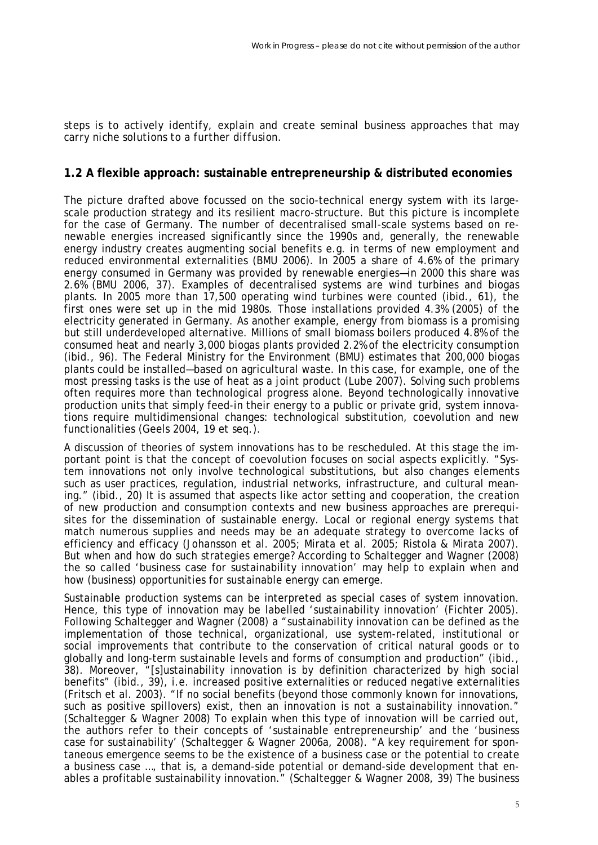*steps is to actively identify, explain and create seminal business approaches that may carry niche solutions to a further diffusion.* 

#### **1.2 A flexible approach: sustainable entrepreneurship & distributed economies**

The picture drafted above focussed on the socio-technical energy system with its largescale production strategy and its resilient macro-structure. But this picture is incomplete for the case of Germany. The number of decentralised small-scale systems based on renewable energies increased significantly since the 1990s and, generally, the renewable energy industry creates augmenting social benefits e.g. in terms of new employment and reduced environmental externalities (BMU 2006). In 2005 a share of 4.6% of the primary energy consumed in Germany was provided by renewable energies—in 2000 this share was 2.6% (BMU 2006, 37). Examples of decentralised systems are wind turbines and biogas plants. In 2005 more than 17,500 operating wind turbines were counted (ibid., 61), the first ones were set up in the mid 1980s. Those installations provided 4.3% (2005) of the electricity generated in Germany. As another example, energy from biomass is a promising but still underdeveloped alternative. Millions of small biomass boilers produced 4.8% of the consumed heat and nearly 3,000 biogas plants provided 2.2% of the electricity consumption (ibid., 96). The Federal Ministry for the Environment (BMU) estimates that 200,000 biogas plants could be installed—based on agricultural waste. In this case, for example, one of the most pressing tasks is the use of heat as a joint product (Lube 2007). Solving such problems often requires more than technological progress alone. Beyond technologically innovative production units that simply feed-in their energy to a public or private grid, system innovations require multidimensional changes: technological substitution, coevolution and new functionalities (Geels 2004, 19 et seq.).

A discussion of theories of system innovations has to be rescheduled. At this stage the important point is that the concept of coevolution focuses on social aspects explicitly. "System innovations not only involve technological substitutions, but also changes elements such as user practices, regulation, industrial networks, infrastructure, and cultural meaning." (ibid., 20) It is assumed that aspects like actor setting and cooperation, the creation of new production and consumption contexts and new business approaches are prerequisites for the dissemination of sustainable energy. Local or regional energy systems that match numerous supplies and needs may be an adequate strategy to overcome lacks of efficiency and efficacy (Johansson et al. 2005; Mirata et al. 2005; Ristola & Mirata 2007). But when and how do such strategies emerge? According to Schaltegger and Wagner (2008) the so called 'business case for sustainability innovation' may help to explain when and how (business) opportunities for sustainable energy can emerge.

Sustainable production systems can be interpreted as special cases of system innovation. Hence, this type of innovation may be labelled 'sustainability innovation' (Fichter 2005). Following Schaltegger and Wagner (2008) a "sustainability innovation can be defined as the implementation of those technical, organizational, use system-related, institutional or social improvements that contribute to the conservation of critical natural goods or to globally and long-term sustainable levels and forms of consumption and production" (ibid., 38). Moreover, "[s]ustainability innovation is by definition characterized by high social benefits" (ibid., 39), i.e. increased positive externalities or reduced negative externalities (Fritsch et al. 2003). "If no social benefits (beyond those commonly known for innovations, such as positive spillovers) exist, then an innovation is not a sustainability innovation." (Schaltegger & Wagner 2008) To explain when this type of innovation will be carried out, the authors refer to their concepts of 'sustainable entrepreneurship' and the 'business case for sustainability' (Schaltegger & Wagner 2006a, 2008). "A key requirement for spontaneous emergence seems to be the existence of a business case or the potential to create a business case …, that is, a demand-side potential or demand-side development that enables a profitable sustainability innovation." (Schaltegger & Wagner 2008, 39) The business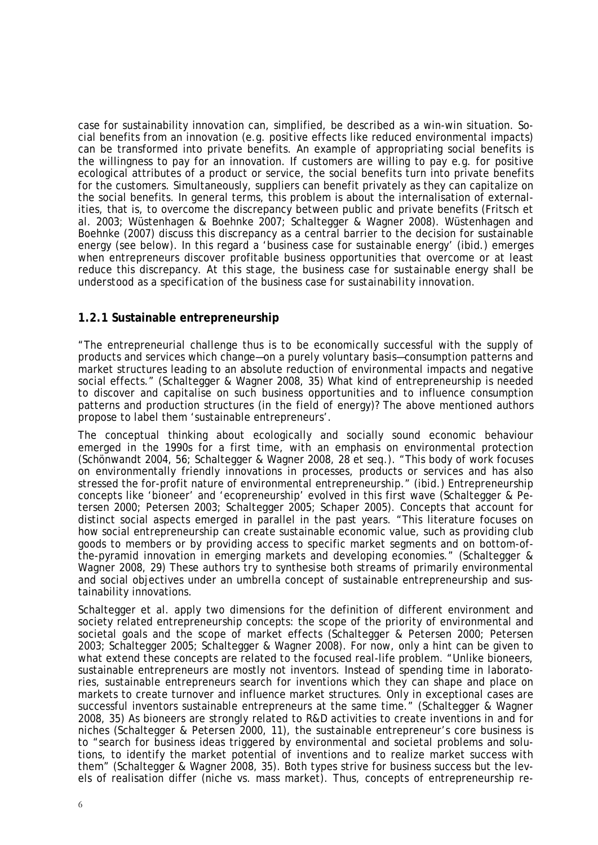case for sustainability innovation can, simplified, be described as a win-win situation. Social benefits from an innovation (e.g. positive effects like reduced environmental impacts) can be transformed into private benefits. An example of appropriating social benefits is the willingness to pay for an innovation. If customers are willing to pay e.g. for positive ecological attributes of a product or service, the social benefits turn into private benefits for the customers. Simultaneously, suppliers can benefit privately as they can capitalize on the social benefits. In general terms, this problem is about the internalisation of externalities, that is, to overcome the discrepancy between public and private benefits (Fritsch et al. 2003; Wüstenhagen & Boehnke 2007; Schaltegger & Wagner 2008). Wüstenhagen and Boehnke (2007) discuss this discrepancy as a central barrier to the decision for sustainable energy (see below). In this regard a 'business case for sustainable energy' (ibid.) emerges when entrepreneurs discover profitable business opportunities that overcome or at least reduce this discrepancy. *At this stage, the business case for sustainable energy shall be understood as a specification of the business case for sustainability innovation.*

#### **1.2.1 Sustainable entrepreneurship**

"The entrepreneurial challenge thus is to be economically successful with the supply of products and services which change—on a purely voluntary basis—consumption patterns and market structures leading to an absolute reduction of environmental impacts and negative social effects." (Schaltegger & Wagner 2008, 35) What kind of entrepreneurship is needed to discover and capitalise on such business opportunities and to influence consumption patterns and production structures (in the field of energy)? The above mentioned authors propose to label them 'sustainable entrepreneurs'.

The conceptual thinking about ecologically and socially sound economic behaviour emerged in the 1990s for a first time, with an emphasis on environmental protection (Schönwandt 2004, 56; Schaltegger & Wagner 2008, 28 et seq.). "This body of work focuses on environmentally friendly innovations in processes, products or services and has also stressed the for-profit nature of environmental entrepreneurship." (ibid.) Entrepreneurship concepts like 'bioneer' and 'ecopreneurship' evolved in this first wave (Schaltegger & Petersen 2000; Petersen 2003; Schaltegger 2005; Schaper 2005). Concepts that account for distinct social aspects emerged in parallel in the past years. "This literature focuses on how social entrepreneurship can create sustainable economic value, such as providing club goods to members or by providing access to specific market segments and on bottom-ofthe-pyramid innovation in emerging markets and developing economies." (Schaltegger & Wagner 2008, 29) These authors try to synthesise both streams of primarily environmental and social objectives under an umbrella concept of sustainable entrepreneurship and sustainability innovations.

Schaltegger et al. apply two dimensions for the definition of different environment and society related entrepreneurship concepts: the scope of the priority of environmental and societal goals and the scope of market effects (Schaltegger & Petersen 2000; Petersen 2003; Schaltegger 2005; Schaltegger & Wagner 2008). For now, only a hint can be given to what extend these concepts are related to the focused real-life problem. "Unlike bioneers, sustainable entrepreneurs are mostly not inventors. Instead of spending time in laboratories, sustainable entrepreneurs search for inventions which they can shape and place on markets to create turnover and influence market structures. Only in exceptional cases are successful inventors sustainable entrepreneurs at the same time." (Schaltegger & Wagner 2008, 35) As bioneers are strongly related to R&D activities to create inventions in and for niches (Schaltegger & Petersen 2000, 11), the sustainable entrepreneur's core business is to "search for business ideas triggered by environmental and societal problems and solutions, to identify the market potential of inventions and to realize market success with them" (Schaltegger & Wagner 2008, 35). Both types strive for business success but the levels of realisation differ (niche vs. mass market). Thus, concepts of entrepreneurship re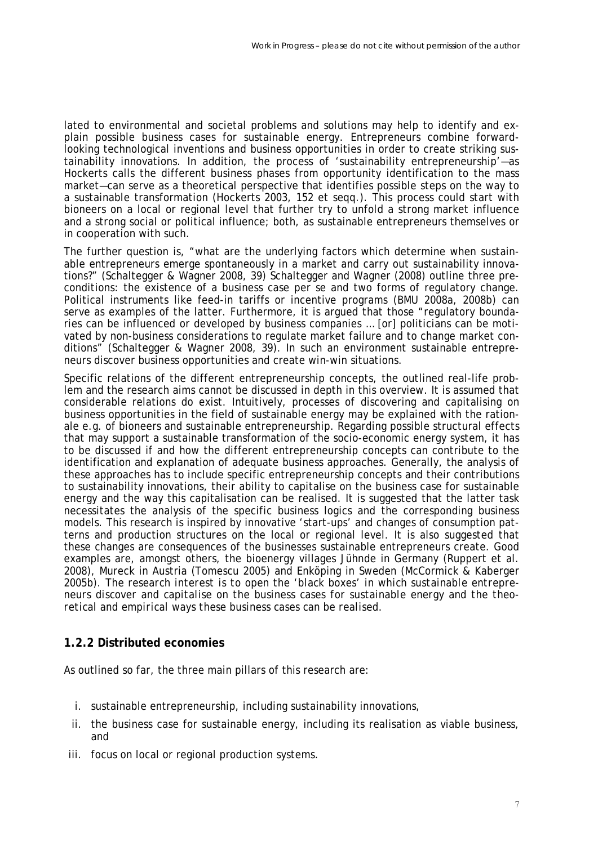lated to environmental and societal problems and solutions may help to identify and explain possible business cases for sustainable energy. Entrepreneurs combine forwardlooking technological inventions and business opportunities in order to create striking sustainability innovations. In addition, the process of 'sustainability entrepreneurship'—as Hockerts calls the different business phases from opportunity identification to the mass market—can serve as a theoretical perspective that identifies possible steps on the way to a sustainable transformation (Hockerts 2003, 152 et seqq.). This process could start with bioneers on a local or regional level that further try to unfold a strong market influence and a strong social or political influence; both, as sustainable entrepreneurs themselves or in cooperation with such.

The further question is, "what are the underlying factors which determine when sustainable entrepreneurs emerge spontaneously in a market and carry out sustainability innovations?" (Schaltegger & Wagner 2008, 39) Schaltegger and Wagner (2008) outline three preconditions: the existence of a business case per se and two forms of regulatory change. Political instruments like feed-in tariffs or incentive programs (BMU 2008a, 2008b) can serve as examples of the latter. Furthermore, it is argued that those "regulatory boundaries can be influenced or developed by business companies … [or] politicians can be motivated by non-business considerations to regulate market failure and to change market conditions" (Schaltegger & Wagner 2008, 39). In such an environment sustainable entrepreneurs discover business opportunities and create win-win situations.

Specific relations of the different entrepreneurship concepts, the outlined real-life problem and the research aims cannot be discussed in depth in this overview. It is assumed that considerable relations do exist. Intuitively, processes of discovering and capitalising on business opportunities in the field of sustainable energy may be explained with the rationale e.g. of bioneers and sustainable entrepreneurship. Regarding possible structural effects that may support a sustainable transformation of the socio-economic energy system, it has to be discussed if and how the different entrepreneurship concepts can contribute to the identification and explanation of adequate business approaches. Generally, the analysis of these approaches has to include specific entrepreneurship concepts and their contributions to sustainability innovations, their ability to capitalise on the business case for sustainable energy and the way this capitalisation can be realised. It is suggested that the latter task necessitates the analysis of the specific business logics and the corresponding business models. This research is inspired by innovative 'start-ups' and changes of consumption patterns and production structures on the local or regional level. It is also suggested that these changes are consequences of the businesses sustainable entrepreneurs create. Good examples are, amongst others, the bioenergy villages Jühnde in Germany (Ruppert et al. 2008), Mureck in Austria (Tomescu 2005) and Enköping in Sweden (McCormick & Kaberger 2005b). *The research interest is to open the 'black boxes' in which sustainable entrepreneurs discover and capitalise on the business cases for sustainable energy and the theoretical and empirical ways these business cases can be realised.*

#### **1.2.2 Distributed economies**

As outlined so far, the three main pillars of this research are:

- i. sustainable entrepreneurship, including sustainability innovations,
- ii. the business case for sustainable energy, including its realisation as viable business, and
- iii. focus on local or regional production systems.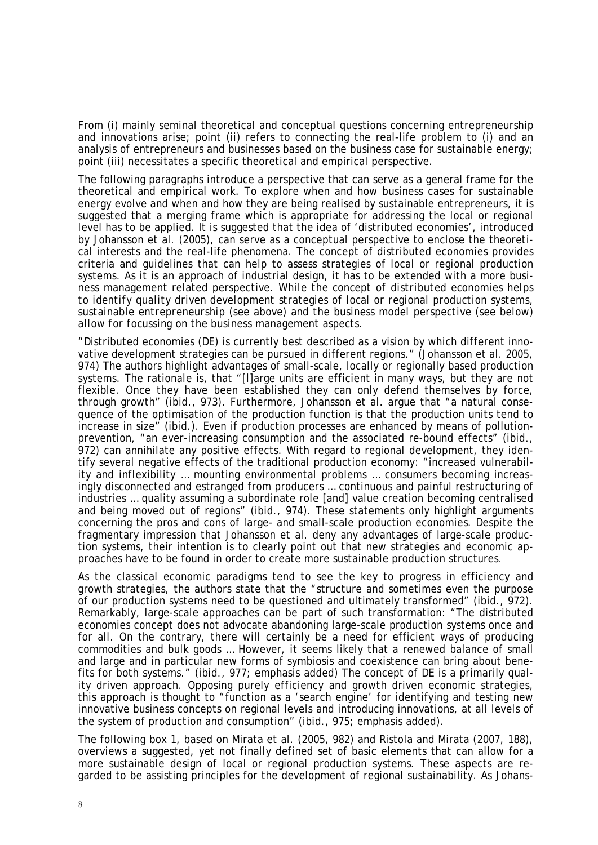From (i) mainly seminal theoretical and conceptual questions concerning entrepreneurship and innovations arise; point (ii) refers to connecting the real-life problem to (i) and an analysis of entrepreneurs and businesses based on the business case for sustainable energy; point (iii) necessitates a specific theoretical and empirical perspective.

The following paragraphs introduce a perspective that can serve as a general frame for the theoretical and empirical work. To explore when and how business cases for sustainable energy evolve and when and how they are being realised by sustainable entrepreneurs, it is suggested that a merging frame which is appropriate for addressing the local or regional level has to be applied. It is suggested that the idea of 'distributed economies', introduced by Johansson et al. (2005), can serve as a conceptual perspective to enclose the theoretical interests and the real-life phenomena. The concept of distributed economies provides criteria and guidelines that can help to assess strategies of local or regional production systems. As it is an approach of industrial design, it has to be extended with a more business management related perspective. *While the concept of distributed economies helps to identify quality driven development strategies of local or regional production systems, sustainable entrepreneurship (see above) and the business model perspective (see below) allow for focussing on the business management aspects.*

"Distributed economies (DE) is currently best described as a vision by which different innovative development strategies can be pursued in different regions." (Johansson et al. 2005, 974) The authors highlight advantages of small-scale, locally or regionally based production systems. The rationale is, that "[I]arge units are efficient in many ways, but they are not flexible. Once they have been established they can only defend themselves by force, through growth" (ibid., 973). Furthermore, Johansson et al. argue that "a natural consequence of the optimisation of the production function is that the production units tend to increase in size" (ibid.). Even if production processes are enhanced by means of pollutionprevention, "an ever-increasing consumption and the associated re-bound effects" (ibid., 972) can annihilate any positive effects. With regard to regional development, they identify several negative effects of the traditional production economy: "increased vulnerability and inflexibility … mounting environmental problems … consumers becoming increasingly disconnected and estranged from producers … continuous and painful restructuring of industries … quality assuming a subordinate role [and] value creation becoming centralised and being moved out of regions" (ibid., 974). These statements only highlight arguments concerning the pros and cons of large- and small-scale production economies. Despite the fragmentary impression that Johansson et al. deny any advantages of large-scale production systems, their intention is to clearly point out that new strategies and economic approaches have to be found in order to create more sustainable production structures.

As the classical economic paradigms tend to see the key to progress in efficiency and growth strategies, the authors state that the "structure and sometimes even the purpose of our production systems need to be questioned and ultimately transformed" (ibid., 972). Remarkably, large-scale approaches can be part of such transformation: "The distributed economies concept does not advocate abandoning large-scale production systems once and for all. On the contrary, there will certainly be a need for efficient ways of producing commodities and bulk goods … However, it seems likely that a renewed balance of small and large and in particular new forms of symbiosis and coexistence can bring about benefits for both systems." (ibid., 977; emphasis added) The concept of DE is a primarily quality driven approach. Opposing purely efficiency and growth driven economic strategies, this approach is thought to "function as a 'search engine' for identifying and testing new innovative business concepts on regional levels and introducing innovations, at all levels of the system of production and consumption" (ibid., 975; emphasis added).

The following box 1, based on Mirata et al. (2005, 982) and Ristola and Mirata (2007, 188), overviews a suggested, yet not finally defined set of basic elements that can allow for a more sustainable design of local or regional production systems. These aspects are regarded to be assisting principles for the development of regional sustainability. As Johans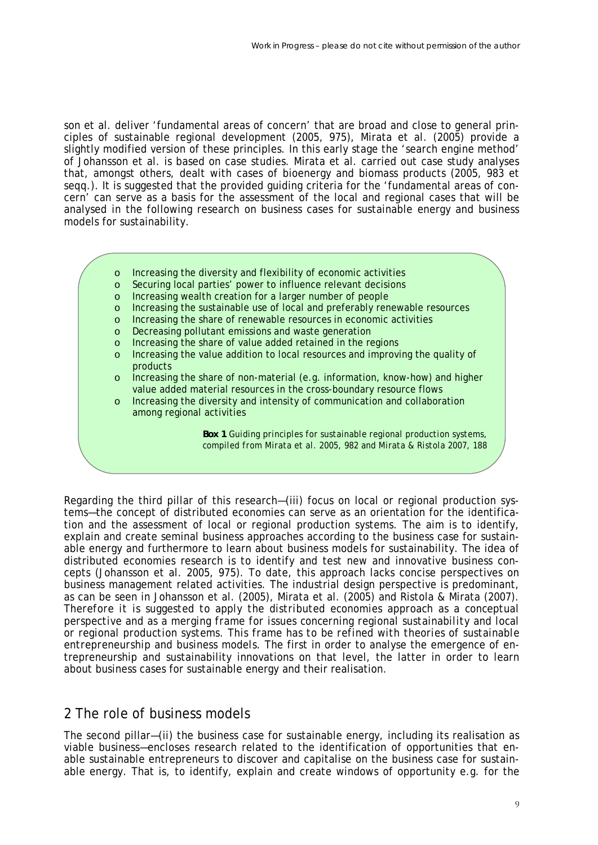son et al. deliver 'fundamental areas of concern' that are broad and close to general principles of sustainable regional development (2005, 975), Mirata et al. (2005) provide a slightly modified version of these principles. In this early stage the 'search engine method' of Johansson et al. is based on case studies. Mirata et al. carried out case study analyses that, amongst others, dealt with cases of bioenergy and biomass products (2005, 983 et seqq.). It is suggested that the provided guiding criteria for the 'fundamental areas of concern' can serve as a basis for the assessment of the local and regional cases that will be analysed in the following research on business cases for sustainable energy and business models for sustainability.

- o Increasing the diversity and flexibility of economic activities
- o Securing local parties' power to influence relevant decisions
- o Increasing wealth creation for a larger number of people
- o Increasing the sustainable use of local and preferably renewable resources
- o Increasing the share of renewable resources in economic activities
- o Decreasing pollutant emissions and waste generation
- o Increasing the share of value added retained in the regions
- o Increasing the value addition to local resources and improving the quality of products
- o Increasing the share of non-material (e.g. information, know-how) and higher value added material resources in the cross-boundary resource flows
- o Increasing the diversity and intensity of communication and collaboration among regional activities

*Box 1 Guiding principles for sustainable regional production systems, compiled from Mirata et al. 2005, 982 and Mirata & Ristola 2007, 188* 

Regarding the third pillar of this research—(iii) focus on local or regional production systems—the concept of distributed economies can serve as an orientation for the identification and the assessment of local or regional production systems. The aim is to identify, explain and create seminal business approaches according to the business case for sustainable energy and furthermore to learn about business models for sustainability. The idea of distributed economies research is to identify and test new and innovative business concepts (Johansson et al. 2005, 975). To date, this approach lacks concise perspectives on business management related activities. The industrial design perspective is predominant, as can be seen in Johansson et al. (2005), Mirata et al. (2005) and Ristola & Mirata (2007). *Therefore it is suggested to apply the distributed economies approach as a conceptual perspective and as a merging frame for issues concerning regional sustainability and local or regional production systems. This frame has to be refined with theories of sustainable entrepreneurship and business models.* The first in order to analyse the emergence of entrepreneurship and sustainability innovations on that level, the latter in order to learn about business cases for sustainable energy and their realisation.

### 2 The role of business models

The second pillar—(ii) the business case for sustainable energy, including its realisation as viable business—encloses research related to the identification of opportunities that enable sustainable entrepreneurs to discover and capitalise on the business case for sustainable energy. That is, to identify, explain and create windows of opportunity e.g. for the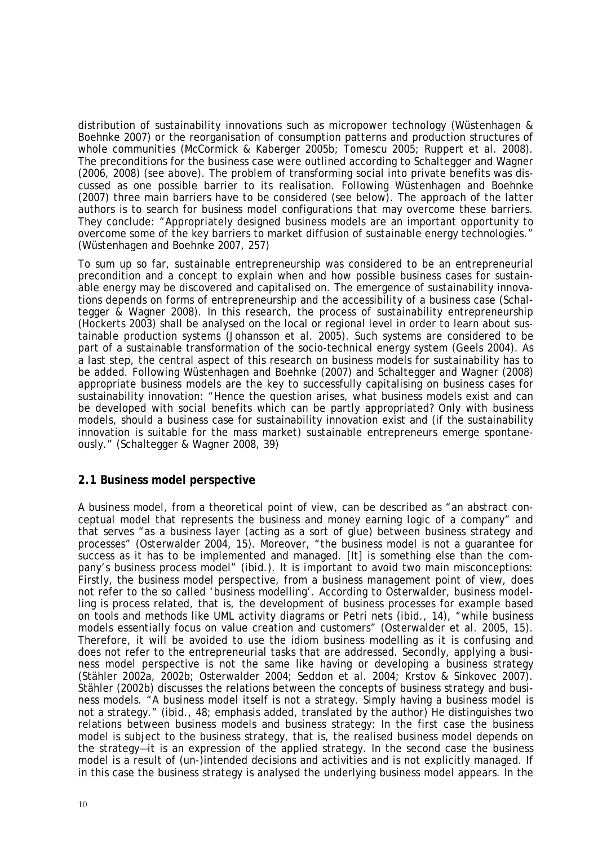distribution of sustainability innovations such as micropower technology (Wüstenhagen & Boehnke 2007) or the reorganisation of consumption patterns and production structures of whole communities (McCormick & Kaberger 2005b; Tomescu 2005; Ruppert et al. 2008). The preconditions for the business case were outlined according to Schaltegger and Wagner (2006, 2008) (see above). The problem of transforming social into private benefits was discussed as one possible barrier to its realisation. Following Wüstenhagen and Boehnke (2007) three main barriers have to be considered (see below). The approach of the latter authors is to search for business model configurations that may overcome these barriers. They conclude: "Appropriately designed business models are an important opportunity to overcome some of the key barriers to market diffusion of sustainable energy technologies." (Wüstenhagen and Boehnke 2007, 257)

To sum up so far, sustainable entrepreneurship was considered to be an entrepreneurial precondition and a concept to explain when and how possible business cases for sustainable energy may be discovered and capitalised on. The emergence of sustainability innovations depends on forms of entrepreneurship and the accessibility of a business case (Schaltegger & Wagner 2008). In this research, the process of sustainability entrepreneurship (Hockerts 2003) shall be analysed on the local or regional level in order to learn about sustainable production systems (Johansson et al. 2005). Such systems are considered to be part of a sustainable transformation of the socio-technical energy system (Geels 2004). As a last step, the central aspect of this research on business models for sustainability has to be added. Following Wüstenhagen and Boehnke (2007) and Schaltegger and Wagner (2008) appropriate business models are the key to successfully capitalising on business cases for sustainability innovation: "Hence the question arises, what business models exist and can be developed with social benefits which can be partly appropriated? Only with business models, should a business case for sustainability innovation exist and (if the sustainability innovation is suitable for the mass market) sustainable entrepreneurs emerge spontaneously." (Schaltegger & Wagner 2008, 39)

#### **2.1 Business model perspective**

A business model, from a theoretical point of view, can be described as "an abstract conceptual model that represents the business and money earning logic of a company" and that serves "as a business layer (acting as a sort of glue) between business strategy and processes" (Osterwalder 2004, 15). Moreover, "the business model is not a guarantee for success as it has to be implemented and managed. [It] is something else than the company's business process model" (ibid.). It is important to avoid two main misconceptions: Firstly, the business model perspective, from a business management point of view, does not refer to the so called 'business modelling'. According to Osterwalder, business modelling is process related, that is, the development of business processes for example based on tools and methods like UML activity diagrams or Petri nets (ibid., 14), "while business models essentially focus on value creation and customers" (Osterwalder et al. 2005, 15). Therefore, it will be avoided to use the idiom business modelling as it is confusing and does not refer to the entrepreneurial tasks that are addressed. Secondly, applying a business model perspective is not the same like having or developing a business strategy (Stähler 2002a, 2002b; Osterwalder 2004; Seddon et al. 2004; Krstov & Sinkovec 2007). Stähler (2002b) discusses the relations between the concepts of business strategy and business models. "A business model itself is not a strategy. Simply having a business model is not a strategy." (ibid., 48; emphasis added, translated by the author) He distinguishes two relations between business models and business strategy: In the first case the business model is subject to the business strategy, that is, the realised business model depends on the strategy—it is an expression of the applied strategy. In the second case the business model is a result of (un-)intended decisions and activities and is not explicitly managed. If in this case the business strategy is analysed the underlying business model appears. In the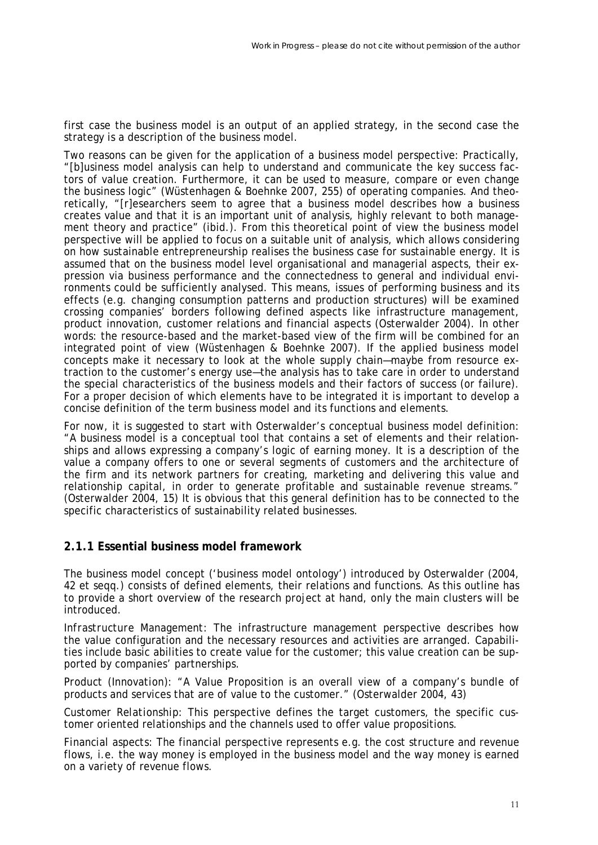first case the business model is an output of an applied strategy, in the second case the strategy is a description of the business model.

Two reasons can be given for the application of a business model perspective: Practically, "[b]usiness model analysis can help to understand and communicate the key success factors of value creation. Furthermore, it can be used to measure, compare or even change the business logic" (Wüstenhagen & Boehnke 2007, 255) of operating companies. And theoretically, "[r]esearchers seem to agree that a business model describes how a business creates value and that it is an important unit of analysis, highly relevant to both management theory and practice" (ibid.). From this theoretical point of view the business model perspective will be applied to focus on a suitable unit of analysis, which allows considering on how sustainable entrepreneurship realises the business case for sustainable energy. It is assumed that on the business model level organisational and managerial aspects, their expression via business performance and the connectedness to general and individual environments could be sufficiently analysed. This means, issues of performing business and its effects (e.g. changing consumption patterns and production structures) will be examined crossing companies' borders following defined aspects like infrastructure management, product innovation, customer relations and financial aspects (Osterwalder 2004). In other words: the resource-based and the market-based view of the firm will be combined for an integrated point of view (Wüstenhagen & Boehnke 2007). If the applied business model concepts make it necessary to look at the whole supply chain—maybe from resource extraction to the customer's energy use—the analysis has to take care in order to understand the special characteristics of the business models and their factors of success (or failure). For a proper decision of which elements have to be integrated it is important to develop a concise definition of the term business model and its functions and elements.

For now, it is suggested to start with Osterwalder's conceptual business model definition: "A business model is a conceptual tool that contains a set of elements and their relationships and allows expressing a company's logic of earning money. It is a description of the value a company offers to one or several segments of customers and the architecture of the firm and its network partners for creating, marketing and delivering this value and relationship capital, in order to generate profitable and sustainable revenue streams." (Osterwalder 2004, 15) It is obvious that this general definition has to be connected to the specific characteristics of sustainability related businesses.

### **2.1.1 Essential business model framework**

The business model concept ('business model ontology') introduced by Osterwalder (2004, 42 et seqq.) consists of defined elements, their relations and functions. As this outline has to provide a short overview of the research project at hand, only the main clusters will be introduced.

*Infrastructure Management:* The infrastructure management perspective describes how the value configuration and the necessary resources and activities are arranged. Capabilities include basic abilities to create value for the customer; this value creation can be supported by companies' partnerships.

*Product (Innovation):* "A Value Proposition is an overall view of a company's bundle of products and services that are of value to the customer." (Osterwalder 2004, 43)

*Customer Relationship:* This perspective defines the target customers, the specific customer oriented relationships and the channels used to offer value propositions.

*Financial aspects:* The financial perspective represents e.g. the cost structure and revenue flows, i.e. the way money is employed in the business model and the way money is earned on a variety of revenue flows.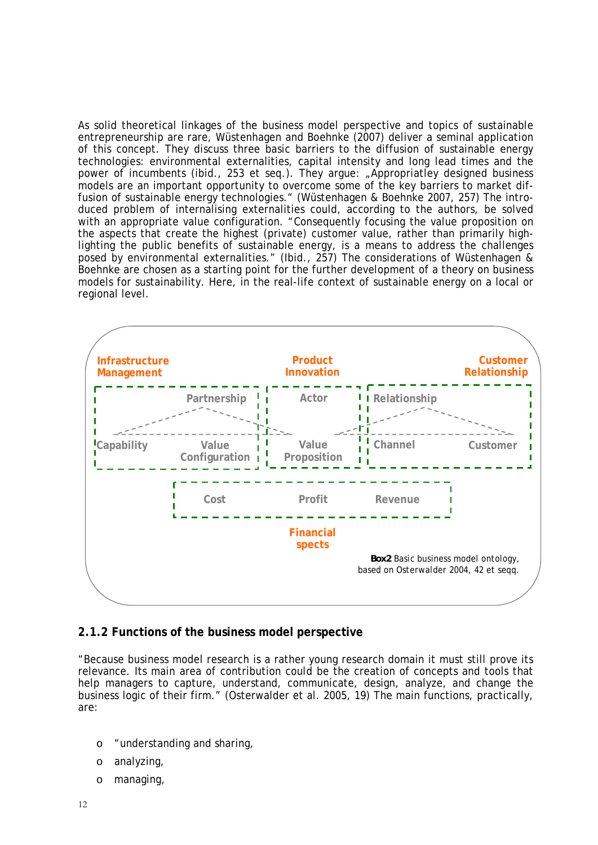As solid theoretical linkages of the business model perspective and topics of sustainable entrepreneurship are rare, Wüstenhagen and Boehnke (2007) deliver a seminal application of this concept. They discuss three basic barriers to the diffusion of sustainable energy technologies: environmental externalities, capital intensity and long lead times and the power of incumbents (ibid., 253 et seq.). They argue: "Appropriatley designed business models are an important opportunity to overcome some of the key barriers to market diffusion of sustainable energy technologies." (Wüstenhagen & Boehnke 2007, 257) The introduced problem of internalising externalities could, according to the authors, be solved with an appropriate value configuration. "Consequently focusing the value proposition on the aspects that create the highest (private) customer value, rather than primarily highlighting the public benefits of sustainable energy, is a means to address the challenges posed by environmental externalities." (Ibid., 257) The considerations of Wüstenhagen & Boehnke are chosen as a starting point for the further development of a theory on business models for sustainability. Here, in the real-life context of sustainable energy on a local or regional level.



### **2.1.2 Functions of the business model perspective**

"Because business model research is a rather young research domain it must still prove its relevance. Its main area of contribution could be the creation of concepts and tools that help managers to capture, understand, communicate, design, analyze, and change the business logic of their firm." (Osterwalder et al. 2005, 19) The main functions, practically, are:

- o "understanding and sharing,
- o analyzing,
- o managing,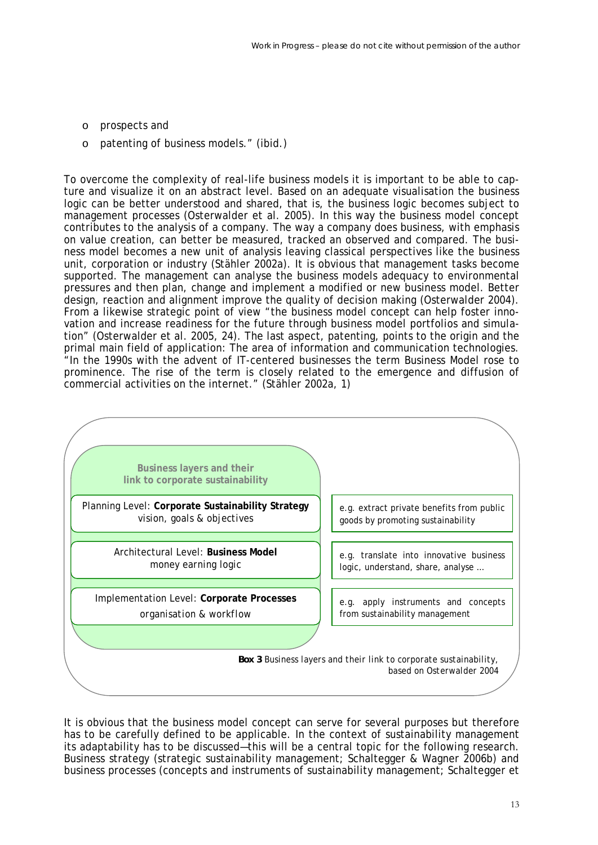- o prospects and
- o patenting of business models." (ibid.)

To overcome the complexity of real-life business models it is important to be able to capture and visualize it on an abstract level. Based on an adequate visualisation the business logic can be better understood and shared, that is, the business logic becomes subject to management processes (Osterwalder et al. 2005). In this way the business model concept contributes to the analysis of a company. The way a company does business, with emphasis on value creation, can better be measured, tracked an observed and compared. The business model becomes a new unit of analysis leaving classical perspectives like the business unit, corporation or industry (Stähler 2002a). It is obvious that management tasks become supported. The management can analyse the business models adequacy to environmental pressures and then plan, change and implement a modified or new business model. Better design, reaction and alignment improve the quality of decision making (Osterwalder 2004). From a likewise strategic point of view "the business model concept can help foster innovation and increase readiness for the future through business model portfolios and simulation" (Osterwalder et al. 2005, 24). The last aspect, patenting, points to the origin and the primal main field of application: The area of information and communication technologies. "In the 1990s with the advent of IT-centered businesses the term Business Model rose to prominence. The rise of the term is closely related to the emergence and diffusion of commercial activities on the internet." (Stähler 2002a, 1)



It is obvious that the business model concept can serve for several purposes but therefore has to be carefully defined to be applicable. In the context of sustainability management its adaptability has to be discussed—this will be a central topic for the following research. Business strategy (strategic sustainability management; Schaltegger & Wagner 2006b) and business processes (concepts and instruments of sustainability management; Schaltegger et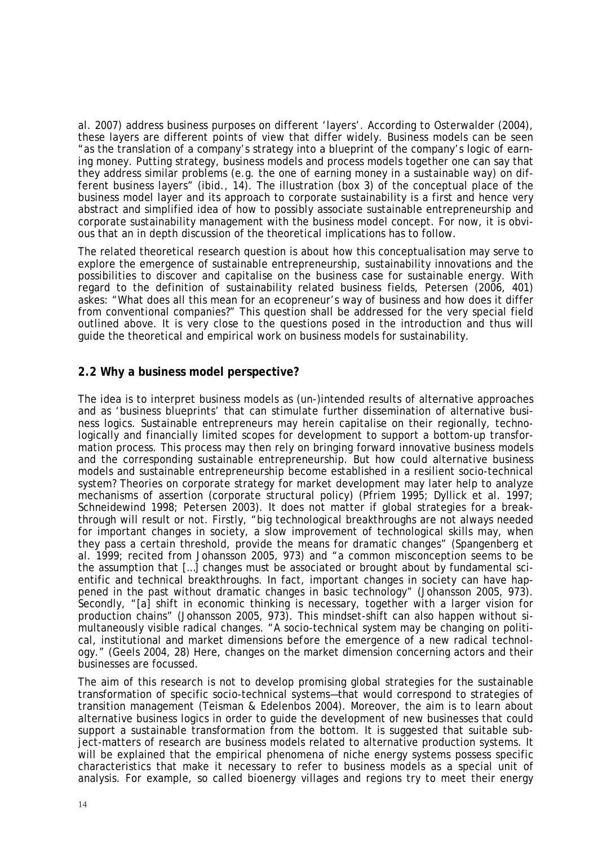al. 2007) address business purposes on different 'layers'. According to Osterwalder (2004), these layers are different points of view that differ widely. Business models can be seen "as the translation of a company's strategy into a blueprint of the company's logic of earning money. Putting strategy, business models and process models together one can say that they address similar problems (e.g. the one of earning money in a sustainable way) on different business layers" (ibid., 14). The illustration (box 3) of the conceptual place of the business model layer and its approach to corporate sustainability is a first and hence very abstract and simplified idea of how to possibly associate sustainable entrepreneurship and corporate sustainability management with the business model concept. For now, it is obvious that an in depth discussion of the theoretical implications has to follow.

The related theoretical research question is about how this conceptualisation may serve to explore the emergence of sustainable entrepreneurship, sustainability innovations and the possibilities to discover and capitalise on the business case for sustainable energy. With regard to the definition of sustainability related business fields, Petersen (2006, 401) askes: "What does all this mean for an ecopreneur's way of business and how does it differ from conventional companies?" This question shall be addressed for the very special field outlined above. It is very close to the questions posed in the introduction and thus will guide the theoretical and empirical work on business models for sustainability.

### **2.2 Why a business model perspective?**

The idea is to interpret business models as (un-)intended results of alternative approaches and as 'business blueprints' that can stimulate further dissemination of alternative business logics. Sustainable entrepreneurs may herein capitalise on their regionally, technologically and financially limited scopes for development to support a bottom-up transformation process. This process may then rely on bringing forward innovative business models and the corresponding sustainable entrepreneurship. But how could alternative business models and sustainable entrepreneurship become established in a resilient socio-technical system? Theories on corporate strategy for market development may later help to analyze mechanisms of assertion (corporate structural policy) (Pfriem 1995; Dyllick et al. 1997; Schneidewind 1998; Petersen 2003). It does not matter if global strategies for a breakthrough will result or not. Firstly, "big technological breakthroughs are not always needed for important changes in society, a slow improvement of technological skills may, when they pass a certain threshold, provide the means for dramatic changes" (Spangenberg et al. 1999; recited from Johansson 2005, 973) and "a common misconception seems to be the assumption that […] changes must be associated or brought about by fundamental scientific and technical breakthroughs. In fact, important changes in society can have happened in the past without dramatic changes in basic technology" (Johansson 2005, 973). Secondly, "[a] shift in economic thinking is necessary, together with a larger vision for production chains" (Johansson 2005, 973). This mindset-shift can also happen without simultaneously visible radical changes. "A socio-technical system may be changing on political, institutional and market dimensions *before* the emergence of a new radical technology." (Geels 2004, 28) Here, changes on the market dimension concerning actors and their businesses are focussed.

The aim of this research is not to develop promising global strategies for the sustainable transformation of specific socio-technical systems—that would correspond to strategies of transition management (Teisman & Edelenbos 2004). Moreover, the aim is to learn about alternative business logics in order to guide the development of new businesses that could support a sustainable transformation from the bottom. It is suggested that suitable subject-matters of research are business models related to alternative production systems. It will be explained that the empirical phenomena of niche energy systems possess specific characteristics that make it necessary to refer to business models as a special unit of analysis. For example, so called bioenergy villages and regions try to meet their energy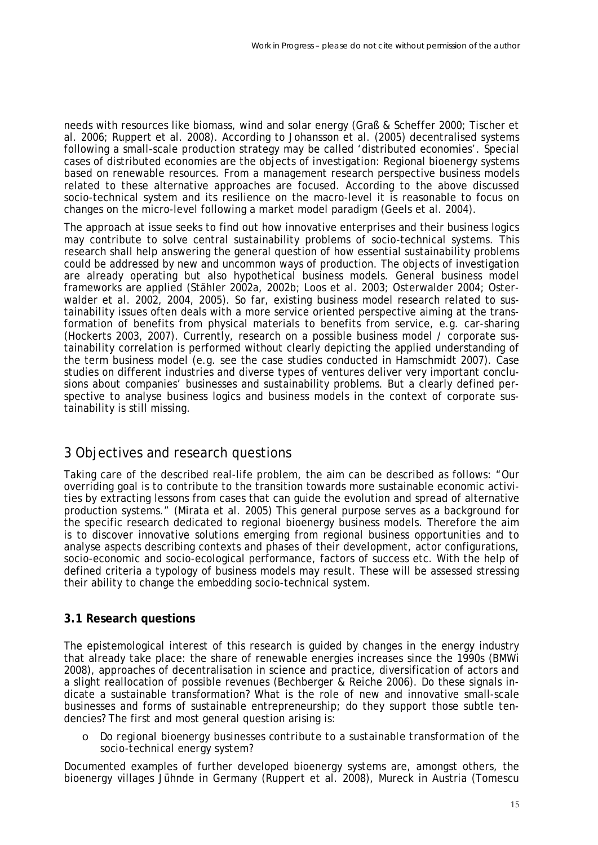needs with resources like biomass, wind and solar energy (Graß & Scheffer 2000; Tischer et al. 2006; Ruppert et al. 2008). According to Johansson et al. (2005) decentralised systems following a small-scale production strategy may be called 'distributed economies'. Special cases of distributed economies are the objects of investigation: Regional bioenergy systems based on renewable resources. From a management research perspective business models related to these alternative approaches are focused. According to the above discussed socio-technical system and its resilience on the macro-level it is reasonable to focus on changes on the micro-level following a market model paradigm (Geels et al. 2004).

The approach at issue seeks to find out how innovative enterprises and their business logics may contribute to solve central sustainability problems of socio-technical systems. This research shall help answering the general question of how essential sustainability problems could be addressed by new and uncommon ways of production. The objects of investigation are already operating but also hypothetical business models. General business model frameworks are applied (Stähler 2002a, 2002b; Loos et al. 2003; Osterwalder 2004; Osterwalder et al. 2002, 2004, 2005). So far, existing business model research related to sustainability issues often deals with a more service oriented perspective aiming at the transformation of benefits from physical materials to benefits from service, e.g. car-sharing (Hockerts 2003, 2007). Currently, research on a possible business model / corporate sustainability correlation is performed without clearly depicting the applied understanding of the term business model (e.g. see the case studies conducted in Hamschmidt 2007). Case studies on different industries and diverse types of ventures deliver very important conclusions about companies' businesses and sustainability problems. But a clearly defined perspective to analyse business logics and business models in the context of corporate sustainability is still missing.

# 3 Objectives and research questions

Taking care of the described real-life problem, the aim can be described as follows: "Our overriding goal is to contribute to the transition towards more sustainable economic activities by extracting lessons from cases that can guide the evolution and spread of alternative production systems." (Mirata et al. 2005) This general purpose serves as a background for the specific research dedicated to regional bioenergy business models. Therefore the aim is to discover innovative solutions emerging from regional business opportunities and to analyse aspects describing contexts and phases of their development, actor configurations, socio-economic and socio-ecological performance, factors of success etc. With the help of defined criteria a typology of business models may result. These will be assessed stressing their ability to change the embedding socio-technical system.

### **3.1 Research questions**

The epistemological interest of this research is guided by changes in the energy industry that already take place: the share of renewable energies increases since the 1990s (BMWi 2008), approaches of decentralisation in science and practice, diversification of actors and a slight reallocation of possible revenues (Bechberger & Reiche 2006). Do these signals indicate a sustainable transformation? What is the role of new and innovative small-scale businesses and forms of sustainable entrepreneurship; do they support those subtle tendencies? The first and most general question arising is:

#### o *Do regional bioenergy businesses contribute to a sustainable transformation of the socio-technical energy system?*

Documented examples of further developed bioenergy systems are, amongst others, the bioenergy villages Jühnde in Germany (Ruppert et al. 2008), Mureck in Austria (Tomescu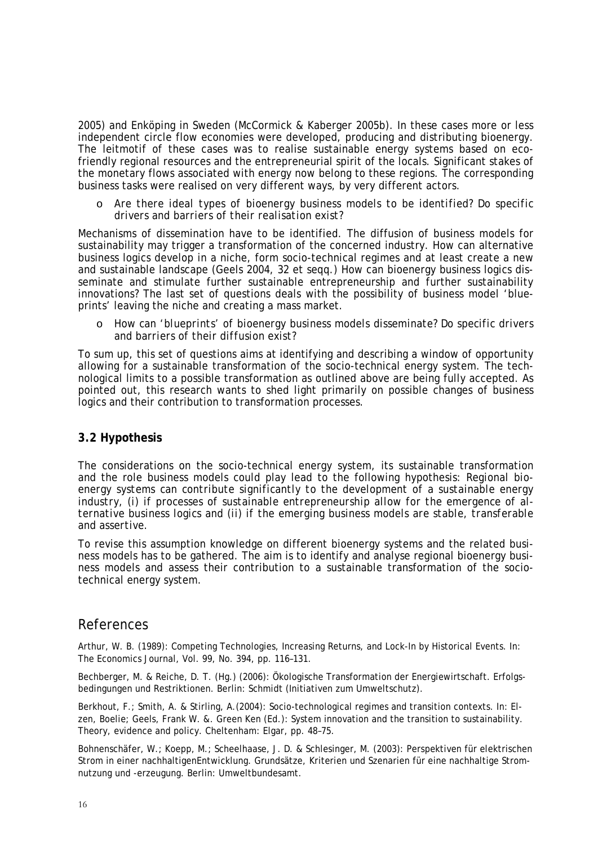2005) and Enköping in Sweden (McCormick & Kaberger 2005b). In these cases more or less independent circle flow economies were developed, producing and distributing bioenergy. The leitmotif of these cases was to realise sustainable energy systems based on ecofriendly regional resources and the entrepreneurial spirit of the locals. Significant stakes of the monetary flows associated with energy now belong to these regions. The corresponding business tasks were realised on very different ways, by very different actors.

o *Are there ideal types of bioenergy business models to be identified? Do specific drivers and barriers of their realisation exist?* 

Mechanisms of dissemination have to be identified. The diffusion of business models for sustainability may trigger a transformation of the concerned industry. How can alternative business logics develop in a niche, form socio-technical regimes and at least create a new and sustainable landscape (Geels 2004, 32 et seqq.) How can bioenergy business logics disseminate and stimulate further sustainable entrepreneurship and further sustainability innovations? The last set of questions deals with the possibility of business model 'blueprints' leaving the niche and creating a mass market.

o *How can 'blueprints' of bioenergy business models disseminate? Do specific drivers and barriers of their diffusion exist?* 

To sum up, this set of questions aims at identifying and describing a window of opportunity allowing for a sustainable transformation of the socio-technical energy system. The technological limits to a possible transformation as outlined above are being fully accepted. As pointed out, this research wants to shed light primarily on possible changes of business logics and their contribution to transformation processes.

#### **3.2 Hypothesis**

The considerations on the socio-technical energy system, its sustainable transformation and the role business models could play lead to the following hypothesis: *Regional bioenergy systems can contribute significantly to the development of a sustainable energy industry, (i) if processes of sustainable entrepreneurship allow for the emergence of alternative business logics and (ii) if the emerging business models are stable, transferable and assertive.*

To revise this assumption knowledge on different bioenergy systems and the related business models has to be gathered. The aim is to identify and analyse regional bioenergy business models and assess their contribution to a sustainable transformation of the sociotechnical energy system.

### References

Arthur, W. B. (1989): Competing Technologies, Increasing Returns, and Lock-In by Historical Events. In: The Economics Journal, Vol. 99, No. 394, pp. 116–131.

Bechberger, M. & Reiche, D. T. (Hg.) (2006): Ökologische Transformation der Energiewirtschaft. Erfolgsbedingungen und Restriktionen. Berlin: Schmidt (Initiativen zum Umweltschutz).

Berkhout, F.; Smith, A. & Stirling, A.(2004): Socio-technological regimes and transition contexts. In: Elzen, Boelie; Geels, Frank W. &. Green Ken (Ed.): System innovation and the transition to sustainability. Theory, evidence and policy. Cheltenham: Elgar, pp. 48–75.

Bohnenschäfer, W.; Koepp, M.; Scheelhaase, J. D. & Schlesinger, M. (2003): Perspektiven für elektrischen Strom in einer nachhaltigenEntwicklung. Grundsätze, Kriterien und Szenarien für eine nachhaltige Stromnutzung und -erzeugung. Berlin: Umweltbundesamt.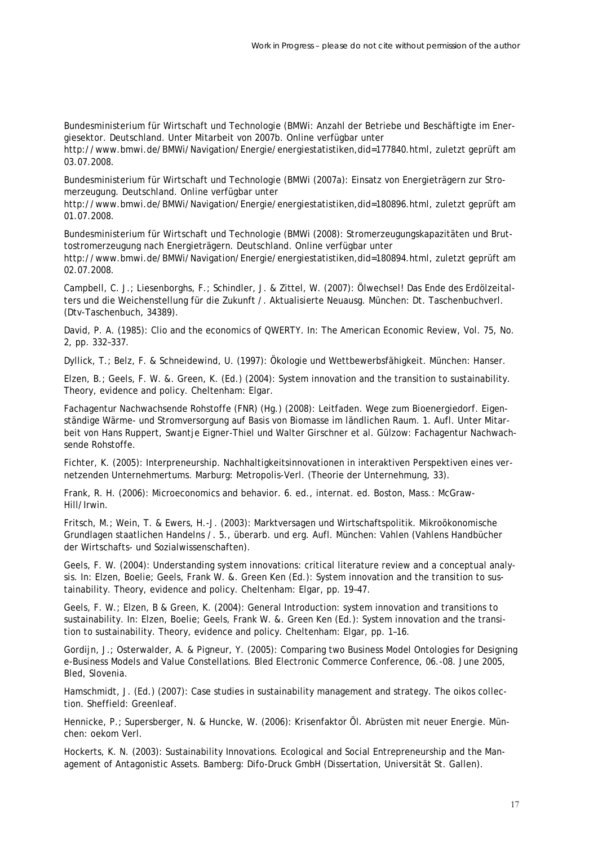Bundesministerium für Wirtschaft und Technologie (BMWi: Anzahl der Betriebe und Beschäftigte im Energiesektor. Deutschland. Unter Mitarbeit von 2007b. Online verfügbar unter

http://www.bmwi.de/BMWi/Navigation/Energie/energiestatistiken,did=177840.html, zuletzt geprüft am 03.07.2008.

Bundesministerium für Wirtschaft und Technologie (BMWi (2007a): Einsatz von Energieträgern zur Stromerzeugung. Deutschland. Online verfügbar unter

http://www.bmwi.de/BMWi/Navigation/Energie/energiestatistiken,did=180896.html, zuletzt geprüft am 01.07.2008.

Bundesministerium für Wirtschaft und Technologie (BMWi (2008): Stromerzeugungskapazitäten und Bruttostromerzeugung nach Energieträgern. Deutschland. Online verfügbar unter http://www.bmwi.de/BMWi/Navigation/Energie/energiestatistiken,did=180894.html, zuletzt geprüft am 02.07.2008.

Campbell, C. J.; Liesenborghs, F.; Schindler, J. & Zittel, W. (2007): Ölwechsel! Das Ende des Erdölzeitalters und die Weichenstellung für die Zukunft /. Aktualisierte Neuausg. München: Dt. Taschenbuchverl. (Dtv-Taschenbuch, 34389).

David, P. A. (1985): Clio and the economics of QWERTY. In: The American Economic Review, Vol. 75, No. 2, pp. 332–337.

Dyllick, T.; Belz, F. & Schneidewind, U. (1997): Ökologie und Wettbewerbsfähigkeit. München: Hanser.

Elzen, B.; Geels, F. W. &. Green, K. (Ed.) (2004): System innovation and the transition to sustainability. Theory, evidence and policy. Cheltenham: Elgar.

Fachagentur Nachwachsende Rohstoffe (FNR) (Hg.) (2008): Leitfaden. Wege zum Bioenergiedorf. Eigenständige Wärme- und Stromversorgung auf Basis von Biomasse im ländlichen Raum. 1. Aufl. Unter Mitarbeit von Hans Ruppert, Swantje Eigner-Thiel und Walter Girschner et al. Gülzow: Fachagentur Nachwachsende Rohstoffe.

Fichter, K. (2005): Interpreneurship. Nachhaltigkeitsinnovationen in interaktiven Perspektiven eines vernetzenden Unternehmertums. Marburg: Metropolis-Verl. (Theorie der Unternehmung, 33).

Frank, R. H. (2006): Microeconomics and behavior. 6. ed., internat. ed. Boston, Mass.: McGraw-Hill/Irwin.

Fritsch, M.; Wein, T. & Ewers, H.-J. (2003): Marktversagen und Wirtschaftspolitik. Mikroökonomische Grundlagen staatlichen Handelns /. 5., überarb. und erg. Aufl. München: Vahlen (Vahlens Handbücher der Wirtschafts- und Sozialwissenschaften).

Geels, F. W. (2004): Understanding system innovations: critical literature review and a conceptual analysis. In: Elzen, Boelie; Geels, Frank W. &. Green Ken (Ed.): System innovation and the transition to sustainability. Theory, evidence and policy. Cheltenham: Elgar, pp. 19–47.

Geels, F. W.; Elzen, B & Green, K. (2004): General Introduction: system innovation and transitions to sustainability. In: Elzen, Boelie; Geels, Frank W. &. Green Ken (Ed.): System innovation and the transition to sustainability. Theory, evidence and policy. Cheltenham: Elgar, pp. 1–16.

Gordijn, J.; Osterwalder, A. & Pigneur, Y. (2005): Comparing two Business Model Ontologies for Designing e-Business Models and Value Constellations. Bled Electronic Commerce Conference, 06.-08. June 2005, Bled, Slovenia.

Hamschmidt, J. (Ed.) (2007): Case studies in sustainability management and strategy. The oikos collection. Sheffield: Greenleaf.

Hennicke, P.; Supersberger, N. & Huncke, W. (2006): Krisenfaktor Öl. Abrüsten mit neuer Energie. München: oekom Verl.

Hockerts, K. N. (2003): Sustainability Innovations. Ecological and Social Entrepreneurship and the Management of Antagonistic Assets. Bamberg: Difo-Druck GmbH (Dissertation, Universität St. Gallen).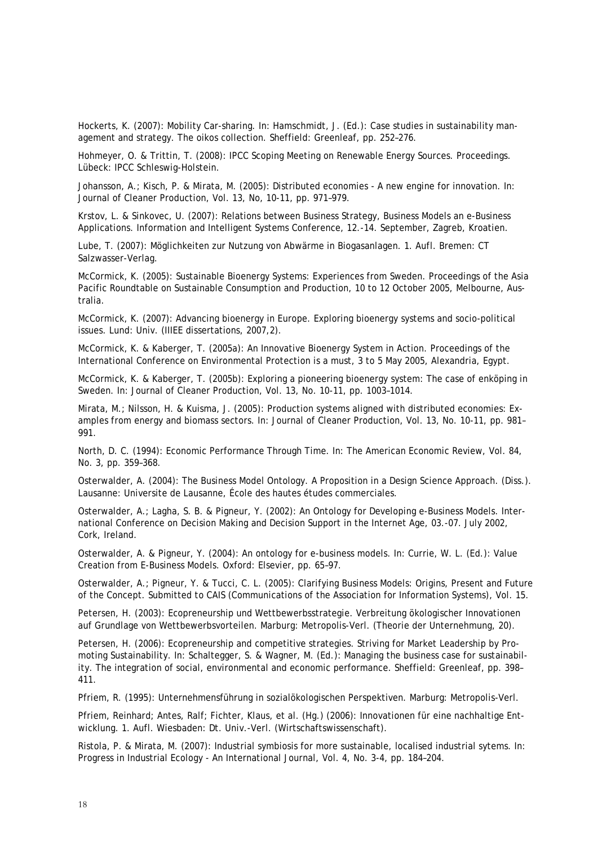Hockerts, K. (2007): Mobility Car-sharing. In: Hamschmidt, J. (Ed.): Case studies in sustainability management and strategy. The oikos collection. Sheffield: Greenleaf, pp. 252–276.

Hohmeyer, O. & Trittin, T. (2008): IPCC Scoping Meeting on Renewable Energy Sources. Proceedings. Lübeck: IPCC Schleswig-Holstein.

Johansson, A.; Kisch, P. & Mirata, M. (2005): Distributed economies - A new engine for innovation. In: Journal of Cleaner Production, Vol. 13, No, 10-11, pp. 971–979.

Krstov, L. & Sinkovec, U. (2007): Relations between Business Strategy, Business Models an e-Business Applications. Information and Intelligent Systems Conference, 12.-14. September, Zagreb, Kroatien.

Lube, T. (2007): Möglichkeiten zur Nutzung von Abwärme in Biogasanlagen. 1. Aufl. Bremen: CT Salzwasser-Verlag.

McCormick, K. (2005): Sustainable Bioenergy Systems: Experiences from Sweden. Proceedings of the Asia Pacific Roundtable on Sustainable Consumption and Production, 10 to 12 October 2005, Melbourne, Australia.

McCormick, K. (2007): Advancing bioenergy in Europe. Exploring bioenergy systems and socio-political issues. Lund: Univ. (IIIEE dissertations, 2007,2).

McCormick, K. & Kaberger, T. (2005a): An Innovative Bioenergy System in Action. Proceedings of the International Conference on Environmental Protection is a must, 3 to 5 May 2005, Alexandria, Egypt.

McCormick, K. & Kaberger, T. (2005b): Exploring a pioneering bioenergy system: The case of enköping in Sweden. In: Journal of Cleaner Production, Vol. 13, No. 10-11, pp. 1003–1014.

Mirata, M.; Nilsson, H. & Kuisma, J. (2005): Production systems aligned with distributed economies: Examples from energy and biomass sectors. In: Journal of Cleaner Production, Vol. 13, No. 10-11, pp. 981– 991.

North, D. C. (1994): Economic Performance Through Time. In: The American Economic Review, Vol. 84, No. 3, pp. 359–368.

Osterwalder, A. (2004): The Business Model Ontology. A Proposition in a Design Science Approach. (Diss.). Lausanne: Universite de Lausanne, École des hautes études commerciales.

Osterwalder, A.; Lagha, S. B. & Pigneur, Y. (2002): An Ontology for Developing e-Business Models. International Conference on Decision Making and Decision Support in the Internet Age, 03.-07. July 2002, Cork, Ireland.

Osterwalder, A. & Pigneur, Y. (2004): An ontology for e-business models. In: Currie, W. L. (Ed.): Value Creation from E-Business Models. Oxford: Elsevier, pp. 65–97.

Osterwalder, A.; Pigneur, Y. & Tucci, C. L. (2005): Clarifying Business Models: Origins, Present and Future of the Concept. Submitted to CAIS (Communications of the Association for Information Systems), Vol. 15.

Petersen, H. (2003): Ecopreneurship und Wettbewerbsstrategie. Verbreitung ökologischer Innovationen auf Grundlage von Wettbewerbsvorteilen. Marburg: Metropolis-Verl. (Theorie der Unternehmung, 20).

Petersen, H. (2006): Ecopreneurship and competitive strategies. Striving for Market Leadership by Promoting Sustainability. In: Schaltegger, S. & Wagner, M. (Ed.): Managing the business case for sustainability. The integration of social, environmental and economic performance. Sheffield: Greenleaf, pp. 398– 411.

Pfriem, R. (1995): Unternehmensführung in sozialökologischen Perspektiven. Marburg: Metropolis-Verl.

Pfriem, Reinhard; Antes, Ralf; Fichter, Klaus, et al. (Hg.) (2006): Innovationen für eine nachhaltige Entwicklung. 1. Aufl. Wiesbaden: Dt. Univ.-Verl. (Wirtschaftswissenschaft).

Ristola, P. & Mirata, M. (2007): Industrial symbiosis for more sustainable, localised industrial sytems. In: Progress in Industrial Ecology - An International Journal, Vol. 4, No. 3-4, pp. 184–204.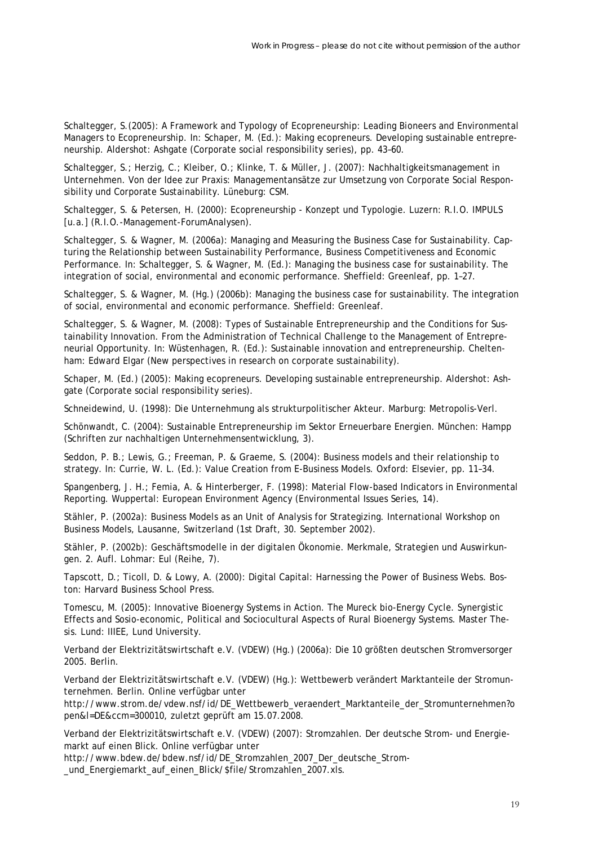Schaltegger, S.(2005): A Framework and Typology of Ecopreneurship: Leading Bioneers and Environmental Managers to Ecopreneurship. In: Schaper, M. (Ed.): Making ecopreneurs. Developing sustainable entrepreneurship. Aldershot: Ashgate (Corporate social responsibility series), pp. 43–60.

Schaltegger, S.; Herzig, C.; Kleiber, O.; Klinke, T. & Müller, J. (2007): Nachhaltigkeitsmanagement in Unternehmen. Von der Idee zur Praxis: Managementansätze zur Umsetzung von Corporate Social Responsibility und Corporate Sustainability. Lüneburg: CSM.

Schaltegger, S. & Petersen, H. (2000): Ecopreneurship - Konzept und Typologie. Luzern: R.I.O. IMPULS [u.a.] (R.I.O.-Management-ForumAnalysen).

Schaltegger, S. & Wagner, M. (2006a): Managing and Measuring the Business Case for Sustainability. Capturing the Relationship between Sustainability Performance, Business Competitiveness and Economic Performance. In: Schaltegger, S. & Wagner, M. (Ed.): Managing the business case for sustainability. The integration of social, environmental and economic performance. Sheffield: Greenleaf, pp. 1–27.

Schaltegger, S. & Wagner, M. (Hg.) (2006b): Managing the business case for sustainability. The integration of social, environmental and economic performance. Sheffield: Greenleaf.

Schaltegger, S. & Wagner, M. (2008): Types of Sustainable Entrepreneurship and the Conditions for Sustainability Innovation. From the Administration of Technical Challenge to the Management of Entrepreneurial Opportunity. In: Wüstenhagen, R. (Ed.): Sustainable innovation and entrepreneurship. Cheltenham: Edward Elgar (New perspectives in research on corporate sustainability).

Schaper, M. (Ed.) (2005): Making ecopreneurs. Developing sustainable entrepreneurship. Aldershot: Ashgate (Corporate social responsibility series).

Schneidewind, U. (1998): Die Unternehmung als strukturpolitischer Akteur. Marburg: Metropolis-Verl.

Schönwandt, C. (2004): Sustainable Entrepreneurship im Sektor Erneuerbare Energien. München: Hampp (Schriften zur nachhaltigen Unternehmensentwicklung, 3).

Seddon, P. B.; Lewis, G.; Freeman, P. & Graeme, S. (2004): Business models and their relationship to strategy. In: Currie, W. L. (Ed.): Value Creation from E-Business Models. Oxford: Elsevier, pp. 11–34.

Spangenberg, J. H.; Femia, A. & Hinterberger, F. (1998): Material Flow-based Indicators in Environmental Reporting. Wuppertal: European Environment Agency (Environmental Issues Series, 14).

Stähler, P. (2002a): Business Models as an Unit of Analysis for Strategizing. International Workshop on Business Models, Lausanne, Switzerland (1st Draft, 30. September 2002).

Stähler, P. (2002b): Geschäftsmodelle in der digitalen Ökonomie. Merkmale, Strategien und Auswirkungen. 2. Aufl. Lohmar: Eul (Reihe, 7).

Tapscott, D.; Ticoll, D. & Lowy, A. (2000): Digital Capital: Harnessing the Power of Business Webs. Boston: Harvard Business School Press.

Tomescu, M. (2005): Innovative Bioenergy Systems in Action. The Mureck bio-Energy Cycle. Synergistic Effects and Sosio-economic, Political and Sociocultural Aspects of Rural Bioenergy Systems. Master Thesis. Lund: IIIEE, Lund University.

Verband der Elektrizitätswirtschaft e.V. (VDEW) (Hg.) (2006a): Die 10 größten deutschen Stromversorger 2005. Berlin.

Verband der Elektrizitätswirtschaft e.V. (VDEW) (Hg.): Wettbewerb verändert Marktanteile der Stromunternehmen. Berlin. Online verfügbar unter

http://www.strom.de/vdew.nsf/id/DE\_Wettbewerb\_veraendert\_Marktanteile\_der\_Stromunternehmen?o pen&l=DE&ccm=300010, zuletzt geprüft am 15.07.2008.

Verband der Elektrizitätswirtschaft e.V. (VDEW) (2007): Stromzahlen. Der deutsche Strom- und Energiemarkt auf einen Blick. Online verfügbar unter

http://www.bdew.de/bdew.nsf/id/DE\_Stromzahlen\_2007\_Der\_deutsche\_Strom- \_und\_Energiemarkt\_auf\_einen\_Blick/\$file/Stromzahlen\_2007.xls.